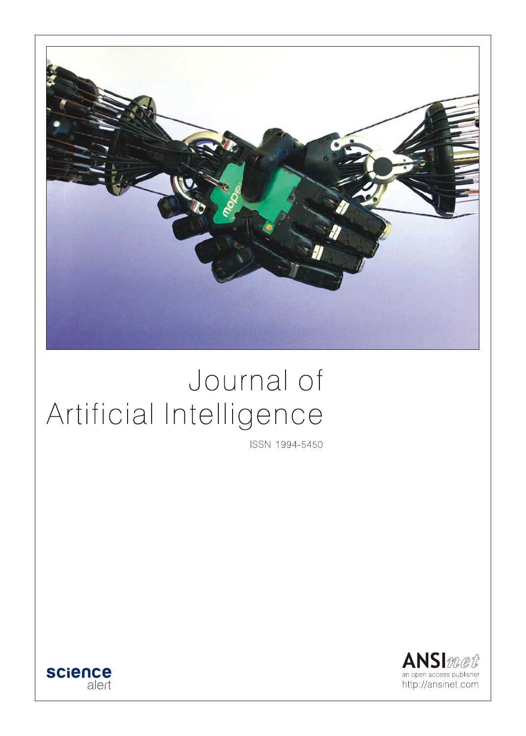

# Journal of Artificial Intelligence

ISSN 1994-5450



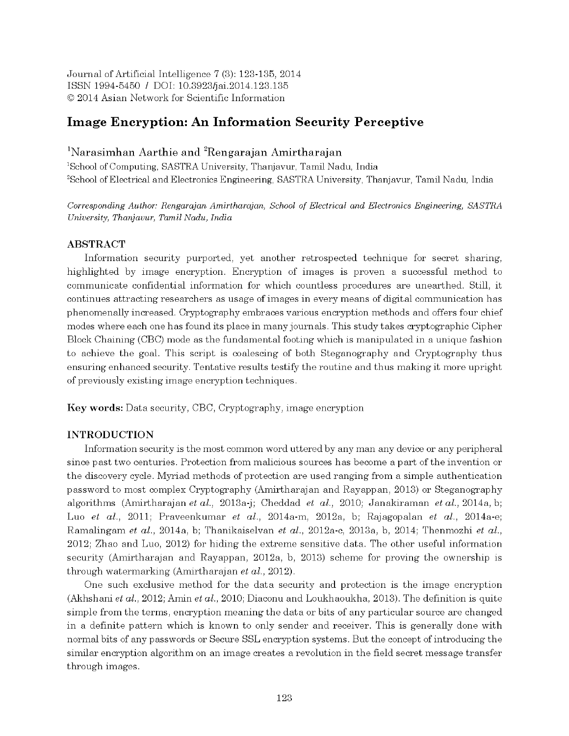Journal of Artificial Intelligence 7(3): 123-135, 2014 ISSN 1994-5450 / DOI: 10.3923/jai.2014.123.135 © 2014 Asian Network for Scientific Information

# **Image Encryption: An Information Security Perceptive**

# <sup>1</sup>Narasimhan Aarthie and <sup>2</sup>Rengarajan Amirtharajan

<sup>1</sup>School of Computing, SASTRA University, Thanjavur, Tamil Nadu, India <sup>2</sup>School of Electrical and Electronics Engineering, SASTRA University, Thanjavur, Tamil Nadu, India

Corresponding Author: Rengarajan Amirtharajan, School of Electrical and Electronics Engineering, SASTRA University, Thanjavur, Tamil Nadu, India

## **ABSTRACT**

Information security purported, yet another retrospected technique for secret sharing, highlighted by image encryption. Encryption of images is proven a successful method to communicate confidential information for which countless procedures are unearthed. Still, it continues attracting researchers as usage of images in every means of digital communication has phenomenally increased. Cryptography embraces various encryption methods and offers four chief modes where each one has found its place in many journals. This study takes cryptographic Cipher Block Chaining (CBC) mode as the fundamental footing which is manipulated in a unique fashion to achieve the goal. This script is coalescing of both Steganography and Cryptography thus ensuring enhanced security. Tentative results testify the routine and thus making it more upright of previously existing image encryption techniques.

**Key words:** Data security, CBC, Cryptography, image encryption

# **INTRODUCTION**

Information security is the most common word uttered by any man any device or any peripheral since past two centuries. Protection from malicious sources has become a part of the invention or the discovery cycle. Myriad methods of protection are used ranging from a simple authentication password to most complex Cryptography (Amirtharajan and Rayappan, 2013) or Steganography algorithms (Amirtharajan et al., 2013a-j; Cheddad et al., 2010; Janakiraman et al., 2014a, b; Luo et al., 2011; Praveenkumar et al., 2014a-m, 2012a, b; Rajagopalan et al., 2014a-e; Ramalingam et al., 2014a, b; Thanikaiselvan et al., 2012a-c, 2013a, b, 2014; Thenmozhi et al., 2012; Zhao and Luo, 2012) for hiding the extreme sensitive data. The other useful information security (Amirtharajan and Rayappan, 2012a, b, 2013) scheme for proving the ownership is through watermarking (Amirtharajan et al., 2012).

One such exclusive method for the data security and protection is the image encryption (Akhshani et al., 2012; Amin et al., 2010; Diaconu and Loukhaoukha, 2013). The definition is quite simple from the terms, encryption meaning the data or bits of any particular source are changed in a definite pattern which is known to only sender and receiver. This is generally done with normal bits of any passwords or Secure SSL encryption systems. But the concept of introducing the similar encryption algorithm on an image creates a revolution in the field secret message transfer through images.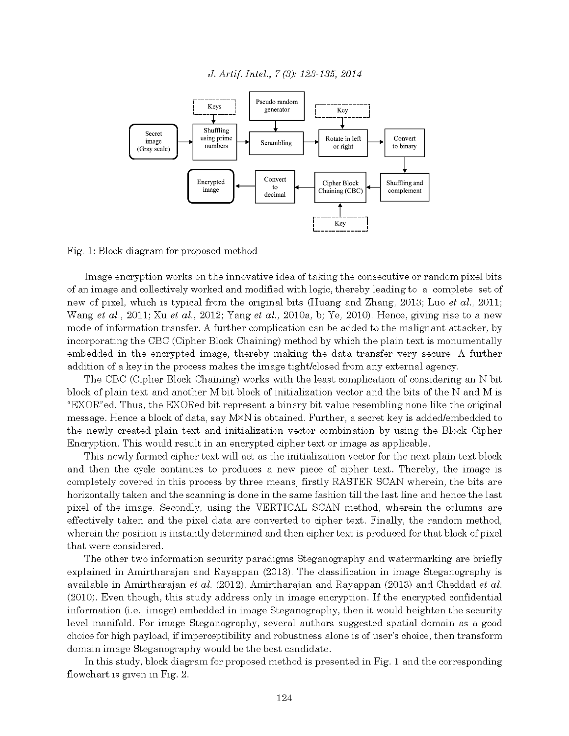

Fig. 1: Block diagram for proposed method

Image encryption works on the innovative idea of taking the consecutive or random pixel bits of an image and collectively worked and modified with logic, thereby leading to a complete set of new of pixel, which is typical from the original bits (Huang and Zhang, 2013; Luo et al., 2011; Wang et al., 2011; Xu et al., 2012; Yang et al., 2010a, b; Ye, 2010). Hence, giving rise to a new mode of information transfer. A further complication can be added to the malignant attacker, by incorporating the CBC (Cipher Block Chaining) method by which the plain text is monumentally embedded in the encrypted image, thereby making the data transfer very secure. A further addition of a key in the process makes the image tight/closed from any external agency.

The CBC (Cipher Block Chaining) works with the least complication of considering an N bit block of plain text and another M bit block of initialization vector and the bits of the N and M is "EXOR" ed. Thus, the EXORed bit represent a binary bit value resembling none like the original message. Hence a block of data, say  $M \times N$  is obtained. Further, a secret key is added/embedded to the newly created plain text and initialization vector combination by using the Block Cipher Encryption. This would result in an encrypted cipher text or image as applicable.

This newly formed cipher text will act as the initialization vector for the next plain text block and then the cycle continues to produces a new piece of cipher text. Thereby, the image is completely covered in this process by three means, firstly RASTER SCAN wherein, the bits are horizontally taken and the scanning is done in the same fashion till the last line and hence the last pixel of the image. Secondly, using the VERTICAL SCAN method, wherein the columns are effectively taken and the pixel data are converted to cipher text. Finally, the random method, wherein the position is instantly determined and then cipher text is produced for that block of pixel that were considered.

The other two information security paradigms Steganography and watermarking are briefly explained in Amirtharajan and Rayappan (2013). The classification in image Steganography is available in Amirtharajan et al. (2012), Amirtharajan and Rayappan (2013) and Cheddad et al. (2010). Even though, this study address only in image encryption. If the encrypted confidential information (i.e., image) embedded in image Steganography, then it would heighten the security level manifold. For image Steganography, several authors suggested spatial domain as a good choice for high payload, if imperceptibility and robustness alone is of user's choice, then transform domain image Steganography would be the best candidate.

In this study, block diagram for proposed method is presented in Fig. 1 and the corresponding flowchart is given in Fig. 2.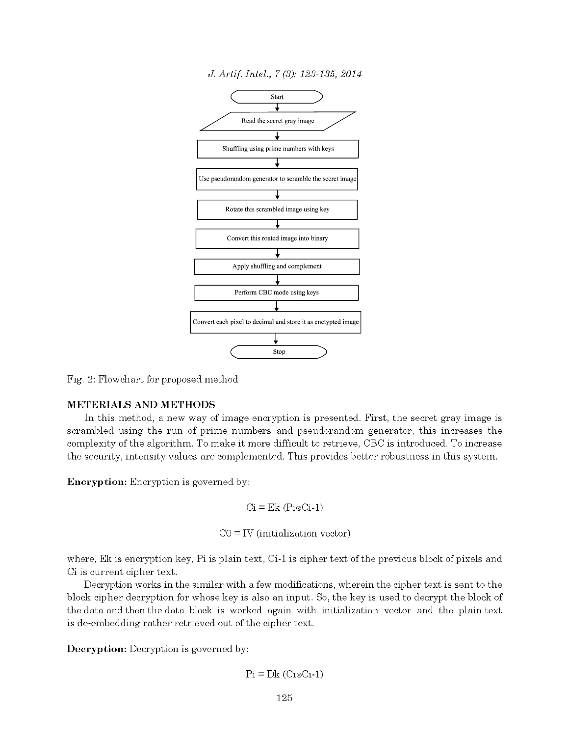

Fig. 2: Flowchart for proposed method

# METERIALS AND METHODS

In this method, a new way of image encryption is presented. First, the secret gray image is scrambled using the run of prime numbers and pseudorandom generator, this increases the complexity of the algorithm. To make it more difficult to retrieve, CBC is introduced. To increase the security, intensity values are complemented. This provides better robustness in this system.

**Encryption:** Encryption is governed by:

$$
Ci = Ek (Pi \otimes Ci-1)
$$

 $CO = IV$  (initialization vector)

where, Ek is encryption key, Pi is plain text, Ci-1 is cipher text of the previous block of pixels and C<sub>1</sub> is current cipher text.

Decryption works in the similar with a few modifications, wherein the cipher text is sent to the block cipher decryption for whose key is also an input. So, the key is used to decrypt the block of the data and then the data block is worked again with initialization vector and the plain text is de-embedding rather retrieved out of the cipher text.

Decryption: Decryption is governed by:

 $Pi = Dk (CieCi-1)$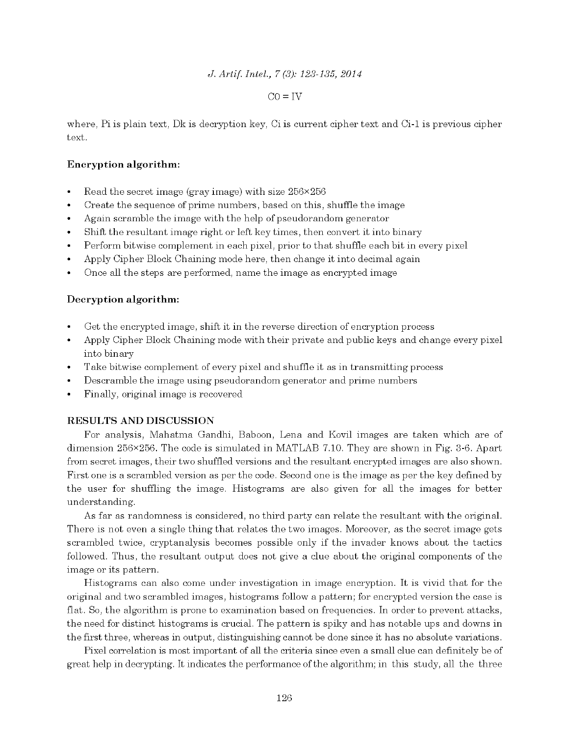#### $CO = IV$

where, Pi is plain text, Dk is decryption key, Ci is current cipher text and Ci-1 is previous cipher text.

# Encryption algorithm:

- Read the secret image (gray image) with size  $256 \times 256$
- Create the sequence of prime numbers, based on this, shuffle the image  $\bullet$
- Again scramble the image with the help of pseudorandom generator  $\bullet$
- Shift the resultant image right or left key times, then convert it into binary  $\bullet$
- Perform bitwise complement in each pixel, prior to that shuffle each bit in every pixel
- Apply Cipher Block Chaining mode here, then change it into decimal again
- Once all the steps are performed, name the image as encrypted image

## Decryption algorithm:

- Get the encrypted image, shift it in the reverse direction of encryption process
- Apply Cipher Block Chaining mode with their private and public keys and change every pixel into binary
- Take bitwise complement of every pixel and shuffle it as in transmitting process
- Descramble the image using pseudorandom generator and prime numbers  $\bullet$
- Finally, original image is recovered

# **RESULTS AND DISCUSSION**

For analysis, Mahatma Gandhi, Baboon, Lena and Kovil images are taken which are of dimension  $256 \times 256$ . The code is simulated in MATLAB 7.10. They are shown in Fig. 3-6. Apart from secret images, their two shuffled versions and the resultant encrypted images are also shown. First one is a scrambled version as per the code. Second one is the image as per the key defined by the user for shuffling the image. Histograms are also given for all the images for better understanding.

As far as randomness is considered, no third party can relate the resultant with the original. There is not even a single thing that relates the two images. Moreover, as the secret image gets scrambled twice, cryptanalysis becomes possible only if the invader knows about the tactics followed. Thus, the resultant output does not give a clue about the original components of the image or its pattern.

Histograms can also come under investigation in image encryption. It is vivid that for the original and two scrambled images, histograms follow a pattern; for encrypted version the case is flat. So, the algorithm is prone to examination based on frequencies. In order to prevent attacks, the need for distinct histograms is crucial. The pattern is spiky and has notable ups and downs in the first three, whereas in output, distinguishing cannot be done since it has no absolute variations.

Pixel correlation is most important of all the criteria since even a small clue can definitely be of great help in decrypting. It indicates the performance of the algorithm; in this study, all the three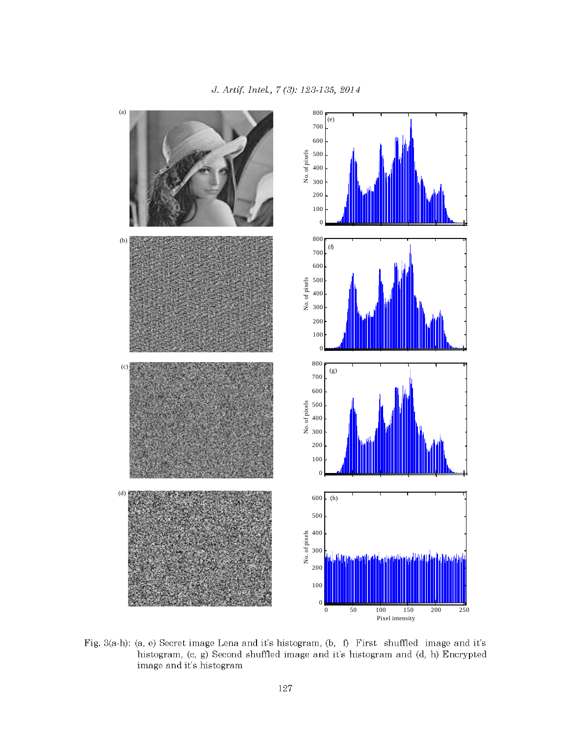

Fig. 3(a-h): (a, e) Secret image Lena and it's histogram, (b, f) First shuffled image and it's histogram, (c, g) Second shuffled image and it's histogram and (d, h) Encrypted image and it's histogram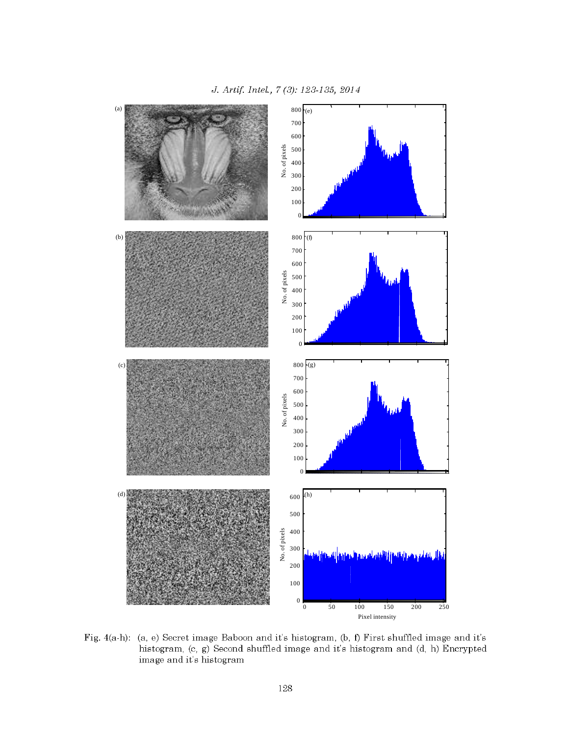

Fig. 4(a-h): (a, e) Secret image Baboon and it's histogram, (b, f) First shuffled image and it's histogram, (c, g) Second shuffled image and it's histogram and (d, h) Encrypted image and it's histogram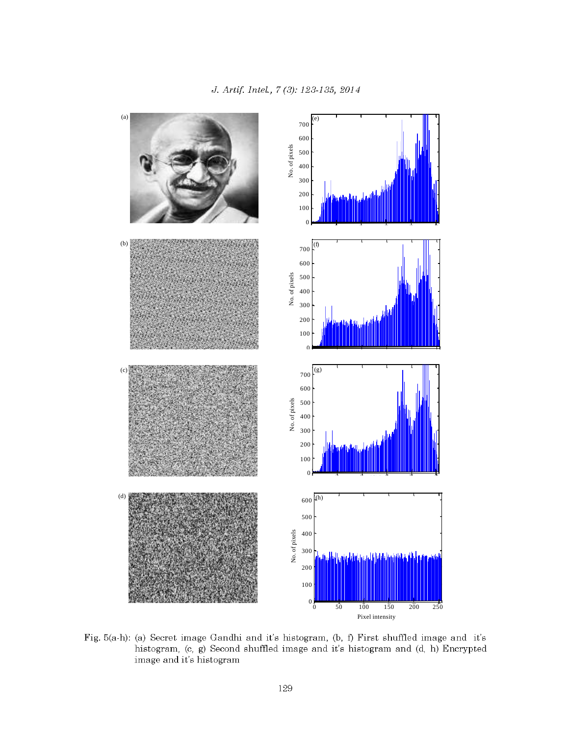

Fig. 5(a-h): (a) Secret image Gandhi and it's histogram, (b, f) First shuffled image and it's histogram, (c, g) Second shuffled image and it's histogram and (d, h) Encrypted image and it's histogram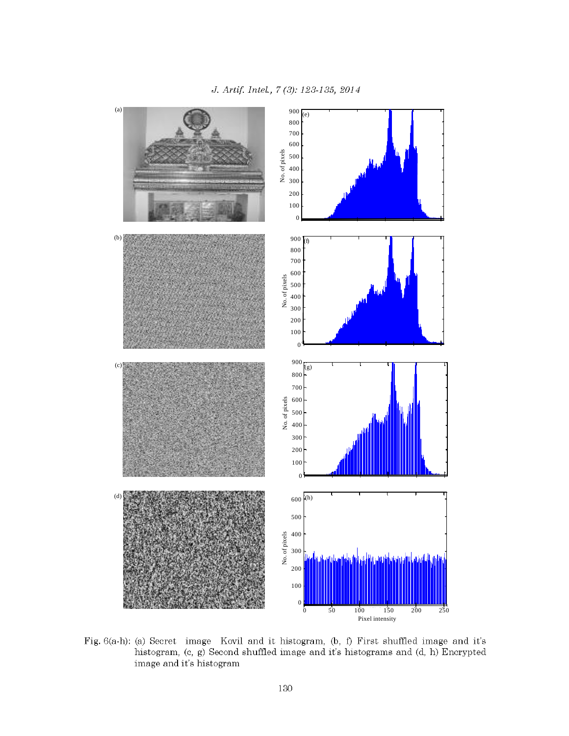

Fig. 6(a-h): (a) Secret image Kovil and it histogram, (b, f) First shuffled image and it's histogram, (c, g) Second shuffled image and it's histograms and (d, h) Encrypted image and it's histogram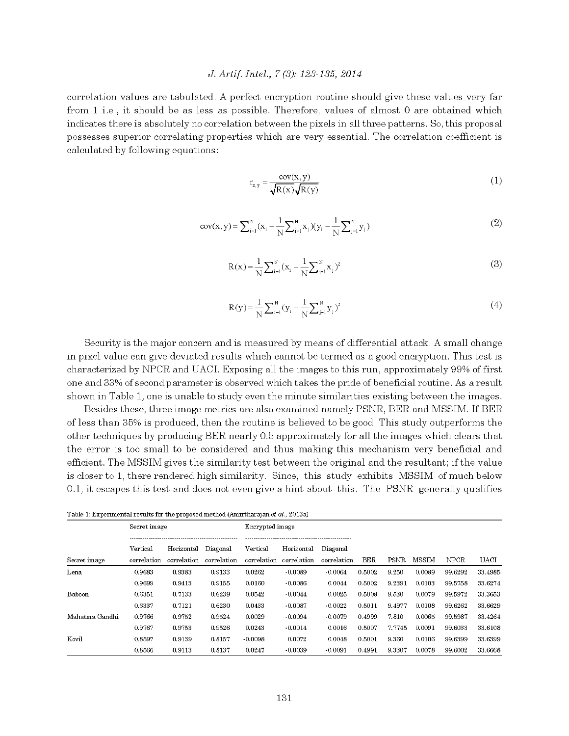correlation values are tabulated. A perfect encryption routine should give these values very far from 1 i.e., it should be as less as possible. Therefore, values of almost 0 are obtained which indicates there is absolutely no correlation between the pixels in all three patterns. So, this proposal possesses superior correlating properties which are very essential. The correlation coefficient is calculated by following equations:

$$
r_{x,y} = \frac{\text{cov}(x, y)}{\sqrt{R(x)}\sqrt{R(y)}}\tag{1}
$$

$$
cov(x, y) = \sum_{i=1}^{N} (x_i - \frac{1}{N} \sum_{j=1}^{N} x_j)(y_i - \frac{1}{N} \sum_{j=1}^{N} y_j)
$$
 (2)

$$
R(x) = \frac{1}{N} \sum_{i=1}^{N} (x_i - \frac{1}{N} \sum_{j=1}^{N} x_j)^2
$$
 (3)

$$
R(y) = \frac{1}{N} \sum_{i=1}^{N} (y_i - \frac{1}{N} \sum_{j=1}^{N} y_j)^2
$$
 (4)

Security is the major concern and is measured by means of differential attack. A small change in pixel value can give deviated results which cannot be termed as a good encryption. This test is characterized by NPCR and UACI. Exposing all the images to this run, approximately 99% of first one and 33% of second parameter is observed which takes the pride of beneficial routine. As a result shown in Table 1, one is unable to study even the minute similarities existing between the images.

Besides these, three image metrics are also examined namely PSNR, BER and MSSIM. If BER of less than 35% is produced, then the routine is believed to be good. This study outperforms the other techniques by producing BER nearly 0.5 approximately for all the images which clears that the error is too small to be considered and thus making this mechanism very beneficial and efficient. The MSSIM gives the similarity test between the original and the resultant; if the value is closer to 1, there rendered high similarity. Since, this study exhibits MSSIM of much below 0.1, it escapes this test and does not even give a hint about this. The PSNR generally qualifies

| Table 1: Experimental results for the proposed method (Amirtharajan et al., 2013a) |  |  |  |
|------------------------------------------------------------------------------------|--|--|--|
|------------------------------------------------------------------------------------|--|--|--|

|                | Secret image |             |             | Encrypted image |             |             |            |             |              |             |             |
|----------------|--------------|-------------|-------------|-----------------|-------------|-------------|------------|-------------|--------------|-------------|-------------|
|                | Vertical     | Horizontal  | Diagonal    | Vertical        | Horizontal  | Diagonal    |            |             |              |             |             |
| Secret image   | correlation  | correlation | correlation | correlation     | correlation | correlation | <b>BER</b> | <b>PSNR</b> | <b>MSSIM</b> | <b>NPCR</b> | <b>UACI</b> |
| Lena           | 0.9683       | 0.9383      | 0.9133      | 0.0262          | $-0.0089$   | $-0.0064$   | 0.5002     | 9.250       | 0.0089       | 99.6292     | 33.4985     |
|                | 0.9699       | 0.9413      | 0.9155      | 0.0160          | $-0.0086$   | 0.0044      | 0.5002     | 9.2391      | 0.0103       | 99.5758     | 33.6274     |
| Baboon         | 0.6351       | 0.7133      | 0.6239      | 0.0542          | $-0.0044$   | 0.0025      | 0.5008     | 9.530       | 0.0079       | 99.5972     | 33 3653     |
|                | 0.6337       | 0.7121      | 0.6230      | 0.0433          | $-0.0087$   | $-0.0022$   | 0.5011     | 9.4977      | 0.0108       | 99.6262     | 33.6629     |
| Mahatma Gandhi | 0.9766       | 0.9752      | 0.9524      | 0.0029          | $-0.0094$   | $-0.0079$   | 0.4999     | 7.810       | 0.0065       | 99.5987     | 33 4 26 4   |
|                | 0.9767       | 0.9753      | 0.9526      | 0.0243          | $-0.0014$   | 0.0016      | 0.5007     | 7.7745      | 0.0091       | 99.6033     | 33.6108     |
| Kovil          | 0.8597       | 0.9139      | 0.8157      | $-0.0098$       | 0.0072      | 0.0048      | 0.5001     | 9.360       | 0.0106       | 99.6399     | 33.6399     |
|                | 0.8566       | 0.9113      | 0.8137      | 0.0247          | $-0.0039$   | $-0.0091$   | 0.4991     | 9.3307      | 0.0078       | 99.6002     | 33 6668     |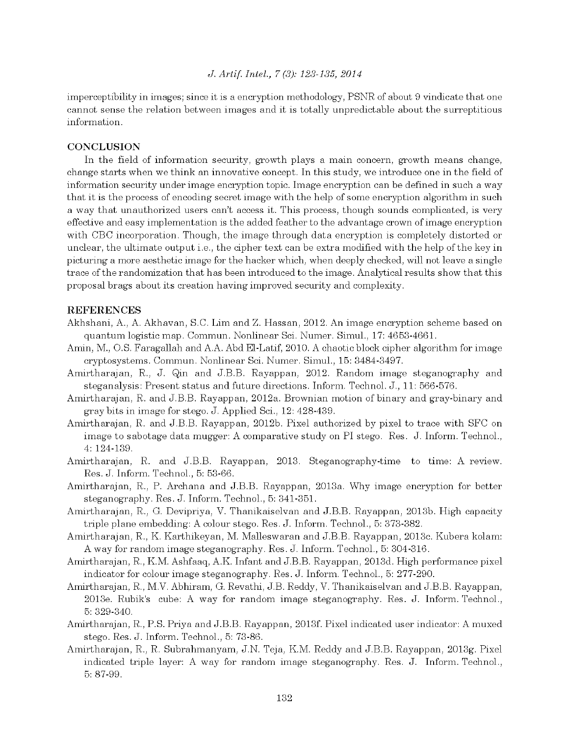imperceptibility in images; since it is a encryption methodology, PSNR of about 9 vindicate that one cannot sense the relation between images and it is totally unpredictable about the surreptitious information.

#### **CONCLUSION**

In the field of information security, growth plays a main concern, growth means change, change starts when we think an innovative concept. In this study, we introduce one in the field of information security under image encryption topic. Image encryption can be defined in such a way that it is the process of encoding secret image with the help of some encryption algorithm in such a way that unauthorized users can't access it. This process, though sounds complicated, is very effective and easy implementation is the added feather to the advantage crown of image encryption with CBC incorporation. Though, the image through data encryption is completely distorted or unclear, the ultimate output i.e., the cipher text can be extra modified with the help of the key in picturing a more aesthetic image for the hacker which, when deeply checked, will not leave a single trace of the randomization that has been introduced to the image. Analytical results show that this proposal brags about its creation having improved security and complexity.

#### **REFERENCES**

- Akhshani, A., A. Akhavan, S.C. Lim and Z. Hassan, 2012. An image encryption scheme based on quantum logistic map. Commun. Nonlinear Sci. Numer. Simul., 17: 4653-4661.
- Amin, M., O.S. Faragallah and A.A. Abd El-Latif, 2010. A chaotic block cipher algorithm for image cryptosystems. Commun. Nonlinear Sci. Numer. Simul., 15: 3484-3497.
- Amirtharajan, R., J. Qin and J.B.B. Rayappan, 2012. Random image steganography and steganalysis: Present status and future directions. Inform. Technol. J., 11: 566-576.
- Amirtharajan, R. and J.B.B. Rayappan, 2012a. Brownian motion of binary and gray-binary and gray bits in image for stego. J. Applied Sci., 12: 428-439.
- Amirtharajan, R. and J.B.B. Rayappan, 2012b. Pixel authorized by pixel to trace with SFC on image to sabotage data mugger: A comparative study on PI stego. Res. J. Inform. Technol., 4: 124-139.
- Amirtharajan, R. and J.B.B. Rayappan, 2013. Steganography-time to time: A review. Res. J. Inform. Technol., 5: 53-66.
- Amirtharajan, R., P. Archana and J.B.B. Rayappan, 2013a. Why image encryption for better steganography. Res. J. Inform. Technol., 5: 341-351.
- Amirtharajan, R., G. Devipriya, V. Thanikaiselvan and J.B.B. Rayappan, 2013b. High capacity triple plane embedding: A colour stego. Res. J. Inform. Technol., 5: 373-382.
- Amirtharajan, R., K. Karthikeyan, M. Malleswaran and J.B.B. Rayappan, 2013c. Kubera kolam: A way for random image steganography. Res. J. Inform. Technol., 5: 304-316.
- Amirtharajan, R., K.M. Ashfaaq, A.K. Infant and J.B.B. Rayappan, 2013d. High performance pixel indicator for colour image steganography. Res. J. Inform. Technol., 5: 277-290.
- Amirtharajan, R., M.V. Abhiram, G. Revathi, J.B. Reddy, V. Thanikaiselvan and J.B.B. Rayappan, 2013e. Rubik's cube: A way for random image steganography. Res. J. Inform. Technol., 5:329-340.
- Amirtharajan, R., P.S. Priya and J.B.B. Rayappan, 2013f. Pixel indicated user indicator: A muxed stego. Res. J. Inform. Technol., 5: 73-86.
- Amirtharajan, R., R. Subrahmanyam, J.N. Teja, K.M. Reddy and J.B.B. Rayappan, 2013g. Pixel indicated triple layer: A way for random image steganography. Res. J. Inform. Technol., 5:87-99.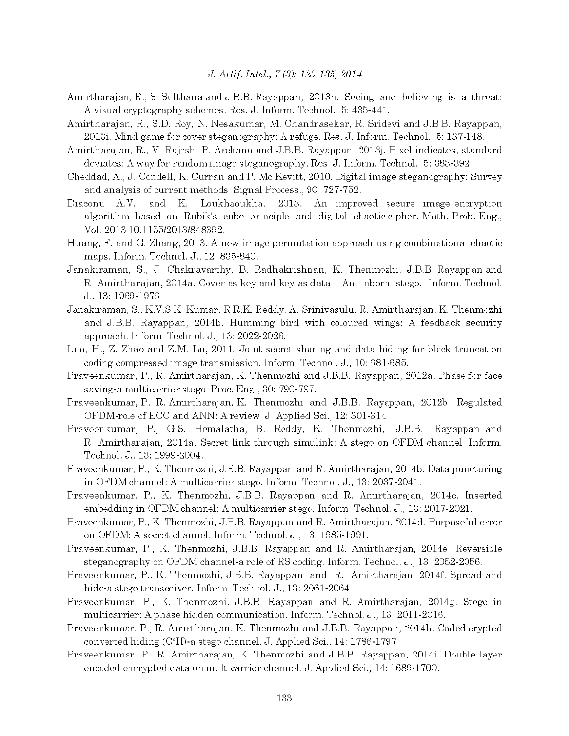- Amirtharajan, R., S. Sulthana and J.B.B. Rayappan, 2013h. Seeing and believing is a threat: A visual cryptography schemes. Res. J. Inform. Technol., 5: 435-441.
- Amirtharajan, R., S.D. Roy, N. Nesakumar, M. Chandrasekar, R. Sridevi and J.B.B. Rayappan, 2013i. Mind game for cover steganography: A refuge. Res. J. Inform. Technol., 5: 137-148.
- Amirtharajan, R., V. Rajesh, P. Archana and J.B.B. Rayappan, 2013j. Pixel indicates, standard deviates: A way for random image steganography. Res. J. Inform. Technol., 5: 383-392.
- Cheddad, A., J. Condell, K. Curran and P. Mc Kevitt, 2010. Digital image steganography: Survey and analysis of current methods. Signal Process., 90: 727-752.
- 2013. Diaconu, A.V. and K. Loukhaoukha, An improved secure image encryption algorithm based on Rubik's cube principle and digital chaotic cipher. Math. Prob. Eng., Vol. 2013 10.1155/2013/848392.
- Huang, F. and G. Zhang, 2013. A new image permutation approach using combinational chaotic maps. Inform. Technol. J., 12: 835-840.
- Janakiraman, S., J. Chakravarthy, B. Radhakrishnan, K. Thenmozhi, J.B.B. Rayappan and R. Amirtharajan, 2014a. Cover as key and key as data: An inborn stego. Inform. Technol. J., 13: 1969-1976.
- Janakiraman, S., K.V.S.K. Kumar, R.R.K. Reddy, A. Srinivasulu, R. Amirtharajan, K. Thenmozhi and J.B.B. Rayappan, 2014b. Humming bird with coloured wings: A feedback security approach. Inform. Technol. J., 13: 2022-2026.
- Luo, H., Z. Zhao and Z.M. Lu, 2011. Joint secret sharing and data hiding for block truncation coding compressed image transmission. Inform. Technol. J., 10: 681-685.
- Praveenkumar, P., R. Amirtharajan, K. Thenmozhi and J.B.B. Rayappan, 2012a. Phase for face saving a multicarrier stego. Proc. Eng., 30: 790-797.
- Praveenkumar, P., R. Amirtharajan, K. Thenmozhi and J.B.B. Rayappan, 2012b. Regulated OFDM-role of ECC and ANN: A review. J. Applied Sci., 12: 301-314.
- Praveenkumar, P., G.S. Hemalatha, B. Reddy, K. Thenmozhi, J.B.B. Rayappan and R. Amirtharajan, 2014a. Secret link through simulink: A stego on OFDM channel. Inform. Technol. J., 13: 1999-2004.
- Praveenkumar, P., K. Thenmozhi, J.B.B. Rayappan and R. Amirtharajan, 2014b. Data puncturing in OFDM channel: A multicarrier stego. Inform. Technol. J., 13: 2037-2041.
- Praveenkumar, P., K. Thenmozhi, J.B.B. Rayappan and R. Amirtharajan, 2014c. Inserted embedding in OFDM channel: A multicarrier stego. Inform. Technol. J., 13: 2017-2021.
- Praveenkumar, P., K. Thenmozhi, J.B.B. Rayappan and R. Amirtharajan, 2014d. Purposeful error on OFDM: A secret channel. Inform. Technol. J., 13: 1985-1991.
- Praveenkumar, P., K. Thenmozhi, J.B.B. Rayappan and R. Amirtharajan, 2014e. Reversible steganography on OFDM channel-a role of RS coding. Inform. Technol. J., 13: 2052-2056.
- Praveenkumar, P., K. Thenmozhi, J.B.B. Rayappan and R. Amirtharajan, 2014f. Spread and hide-a stego transceiver. Inform. Technol. J., 13: 2061-2064.
- Praveenkumar, P., K. Thenmozhi, J.B.B. Rayappan and R. Amirtharajan, 2014g. Stego in multicarrier: A phase hidden communication. Inform. Technol. J., 13: 2011-2016.
- Praveenkumar, P., R. Amirtharajan, K. Thenmozhi and J.B.B. Rayappan, 2014h. Coded crypted converted hiding (C<sup>3</sup>H)-a stego channel. J. Applied Sci., 14: 1786-1797.
- Praveenkumar, P., R. Amirtharajan, K. Thenmozhi and J.B.B. Rayappan, 2014i. Double layer encoded encrypted data on multicarrier channel. J. Applied Sci., 14: 1689-1700.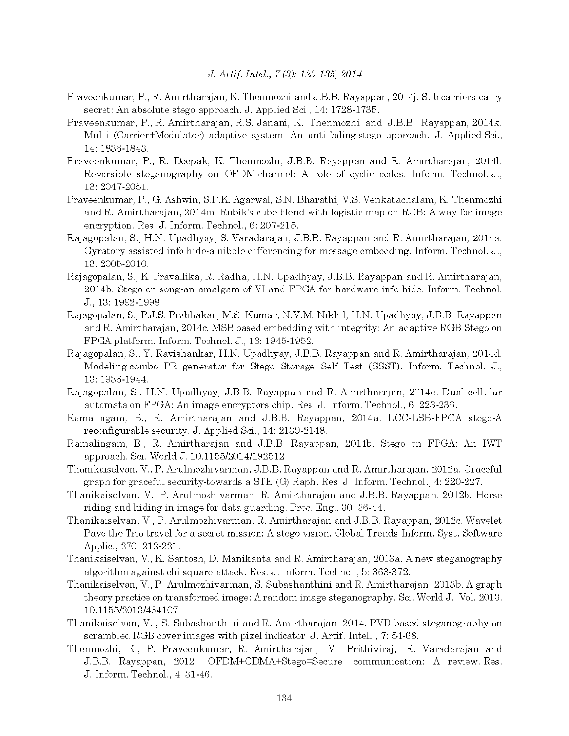- Praveenkumar, P., R. Amirtharajan, K. Thenmozhi and J.B.B. Rayappan, 2014j. Sub carriers carry secret: An absolute stego approach. J. Applied Sci., 14: 1728-1735.
- Praveenkumar, P., R. Amirtharajan, R.S. Janani, K. Thenmozhi and J.B.B. Rayappan, 2014k. Multi (Carrier+Modulator) adaptive system: An antifading stego approach. J. Applied Sci., 14: 1836-1843.
- Praveenkumar, P., R. Deepak, K. Thenmozhi, J.B.B. Rayappan and R. Amirtharajan, 2014l. Reversible steganography on OFDM channel: A role of cyclic codes. Inform. Technol. J., 13: 2047-2051.
- Praveenkumar, P., G. Ashwin, S.P.K. Agarwal, S.N. Bharathi, V.S. Venkatachalam, K. Thenmozhi and R. Amirtharajan, 2014m. Rubik's cube blend with logistic map on RGB: A way for image encryption. Res. J. Inform. Technol., 6: 207-215.
- Rajagopalan, S., H.N. Upadhyay, S. Varadarajan, J.B.B. Rayappan and R. Amirtharajan, 2014a. Gyratory assisted info hide-a nibble differencing for message embedding. Inform. Technol. J., 13: 2005-2010.
- Rajagopalan, S., K. Pravallika, R. Radha, H.N. Upadhyay, J.B.B. Rayappan and R. Amirtharajan, 2014b. Stego on song-an amalgam of VI and FPGA for hardware info hide. Inform. Technol. J., 13: 1992-1998.
- Rajagopalan, S., P.J.S. Prabhakar, M.S. Kumar, N.V.M. Nikhil, H.N. Upadhyay, J.B.B. Rayappan and R. Amirtharajan, 2014c. MSB based embedding with integrity: An adaptive RGB Stego on FPGA platform. Inform. Technol. J., 13: 1945-1952.
- Rajagopalan, S., Y. Ravishankar, H.N. Upadhyay, J.B.B. Rayappan and R. Amirtharajan, 2014d. Modeling combo PR generator for Stego Storage Self Test (SSST). Inform. Technol. J., 13: 1936-1944.
- Rajagopalan, S., H.N. Upadhyay, J.B.B. Rayappan and R. Amirtharajan, 2014e. Dual cellular automata on FPGA: An image encryptors chip. Res. J. Inform. Technol., 6: 223-236.
- Ramalingam, B., R. Amirtharajan and J.B.B. Rayappan, 2014a. LCC-LSB-FPGA stego-A reconfigurable security. J. Applied Sci., 14: 2139-2148.
- Ramalingam, B., R. Amirtharajan and J.B.B. Rayappan, 2014b. Stego on FPGA: An IWT approach. Sci. World J. 10.1155/2014/192512
- Thanikaiselvan, V., P. Arulmozhivarman, J.B.B. Rayappan and R. Amirtharajan, 2012a. Graceful graph for graceful security-towards a STE (G) Raph. Res. J. Inform. Technol., 4: 220-227.
- Thanikaiselvan, V., P. Arulmozhivarman, R. Amirtharajan and J.B.B. Rayappan, 2012b. Horse riding and hiding in image for data guarding. Proc. Eng., 30: 36-44.
- Thanikaiselvan, V., P. Arulmozhivarman, R. Amirtharajan and J.B.B. Rayappan, 2012c. Wavelet Pave the Trio travel for a secret mission: A stego vision. Global Trends Inform. Syst. Software Applic., 270: 212-221.
- Thanikaiselvan, V., K. Santosh, D. Manikanta and R. Amirtharajan, 2013a. A new steganography algorithm against chi square attack. Res. J. Inform. Technol., 5: 363-372.
- Thanikaiselvan, V., P. Arulmozhivarman, S. Subashanthini and R. Amirtharajan, 2013b. A graph theory practice on transformed image: A random image steganography. Sci. World J., Vol. 2013. 10.1155/2013/464107
- Thanikaiselvan, V., S. Subashanthini and R. Amirtharajan, 2014. PVD based steganography on scrambled RGB cover images with pixel indicator. J. Artif. Intell., 7: 54-68.
- Thenmozhi, K., P. Praveenkumar, R. Amirtharajan, V. Prithiviraj, R. Varadarajan and J.B.B. Rayappan, 2012. OFDM+CDMA+Stego=Secure communication: A review. Res. J. Inform. Technol., 4: 31-46.